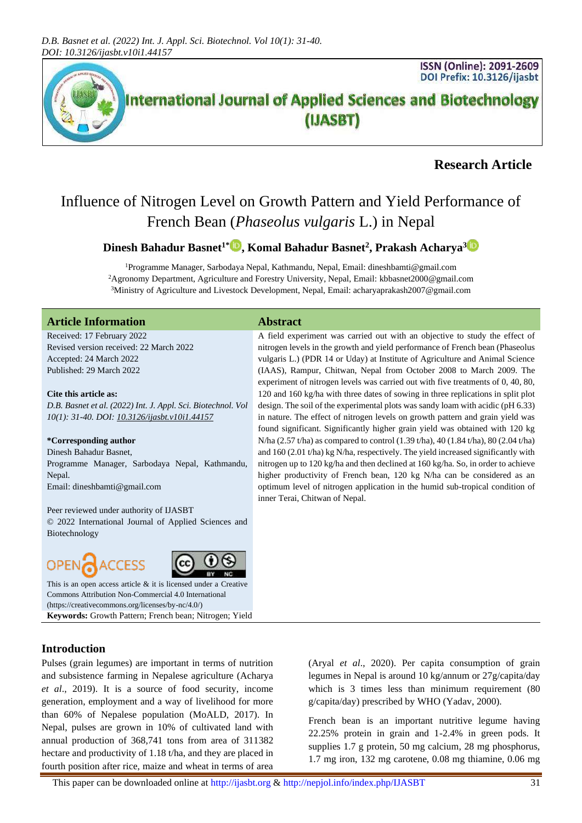

# **Research Article**

# Influence of Nitrogen Level on Growth Pattern and Yield Performance of French Bean (*Phaseolus vulgaris* L.) in Nepal

**Dinesh Bahadur Basnet1\* , Komal Bahadur Basnet<sup>2</sup> , Prakash Acharya<sup>3</sup>**

<sup>1</sup>Programme Manager, Sarbodaya Nepal, Kathmandu, Nepal, Email: dineshbamti@gmail.com <sup>2</sup>Agronomy Department, Agriculture and Forestry University, Nepal, Email: kbbasnet2000@gmail.com <sup>3</sup>Ministry of Agriculture and Livestock Development, Nepal, Email: acharyaprakash2007@gmail.com

#### **Article Information Abstract**

Received: 17 February 2022 Revised version received: 22 March 2022 Accepted: 24 March 2022 Published: 29 March 2022

#### **Cite this article as:**

*D.B. Basnet et al. (2022) Int. J. Appl. Sci. Biotechnol. Vol 10(1): 31-40. DOI[: 10.3126/ijasbt.v10i1.44157](https://doi.org/10.3126/ijasbt.v10i1.44157)*

#### **\*Corresponding author**

Dinesh Bahadur Basnet, Programme Manager, Sarbodaya Nepal, Kathmandu, Nepal. Email: dineshbamti@gmail.com

Peer reviewed under authority of IJASBT

© 2022 International Journal of Applied Sciences and Biotechnology





This is an open access article & it is licensed under a [Creative](https://creativecommons.org/licenses/by-nc/4.0/)  [Commons Attribution Non-Commercial 4.0 International](https://creativecommons.org/licenses/by-nc/4.0/) [\(https://creativecommons.org/licenses/by-nc/4.0/\)](https://creativecommons.org/licenses/by-nc/4.0/) **Keywords:** Growth Pattern; French bean; Nitrogen; Yield

A field experiment was carried out with an objective to study the effect of nitrogen levels in the growth and yield performance of French bean (Phaseolus vulgaris L.) (PDR 14 or Uday) at Institute of Agriculture and Animal Science (IAAS), Rampur, Chitwan, Nepal from October 2008 to March 2009. The experiment of nitrogen levels was carried out with five treatments of 0, 40, 80, 120 and 160 kg/ha with three dates of sowing in three replications in split plot design. The soil of the experimental plots was sandy loam with acidic (pH 6.33) in nature. The effect of nitrogen levels on growth pattern and grain yield was found significant. Significantly higher grain yield was obtained with 120 kg N/ha (2.57 t/ha) as compared to control (1.39 t/ha), 40 (1.84 t/ha), 80 (2.04 t/ha) and 160 (2.01 t/ha) kg N/ha, respectively. The yield increased significantly with nitrogen up to 120 kg/ha and then declined at 160 kg/ha. So, in order to achieve higher productivity of French bean, 120 kg N/ha can be considered as an optimum level of nitrogen application in the humid sub-tropical condition of inner Terai, Chitwan of Nepal.

# **Introduction**

Pulses (grain legumes) are important in terms of nutrition and subsistence farming in Nepalese agriculture (Acharya *et al*., 2019). It is a source of food security, income generation, employment and a way of livelihood for more than 60% of Nepalese population (MoALD, 2017). In Nepal, pulses are grown in 10% of cultivated land with annual production of 368,741 tons from area of 311382 hectare and productivity of 1.18 t/ha, and they are placed in fourth position after rice, maize and wheat in terms of area

(Aryal *et al*., 2020). Per capita consumption of grain legumes in Nepal is around 10 kg/annum or 27g/capita/day which is 3 times less than minimum requirement (80 g/capita/day) prescribed by WHO (Yadav, 2000).

French bean is an important nutritive legume having 22.25% protein in grain and 1-2.4% in green pods. It supplies 1.7 g protein, 50 mg calcium, 28 mg phosphorus, 1.7 mg iron, 132 mg carotene, 0.08 mg thiamine, 0.06 mg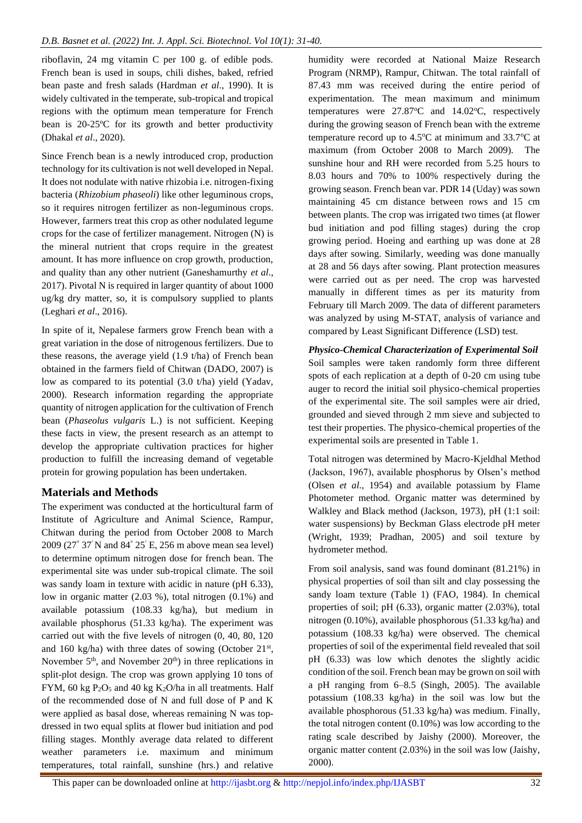riboflavin, 24 mg vitamin C per 100 g. of edible pods. French bean is used in soups, chili dishes, baked, refried bean paste and fresh salads (Hardman *et al*., 1990). It is widely cultivated in the temperate, sub-tropical and tropical regions with the optimum mean temperature for French bean is 20-25ºC for its growth and better productivity (Dhakal *et al*., 2020).

Since French bean is a newly introduced crop, production technology for its cultivation is not well developed in Nepal. It does not nodulate with native rhizobia i.e. nitrogen-fixing bacteria (*Rhizobium phaseoli*) like other leguminous crops, so it requires nitrogen fertilizer as non-leguminous crops. However, farmers treat this crop as other nodulated legume crops for the case of fertilizer management. Nitrogen (N) is the mineral nutrient that crops require in the greatest amount. It has more influence on crop growth, production, and quality than any other nutrient (Ganeshamurthy *et al*., 2017). Pivotal N is required in larger quantity of about 1000 ug/kg dry matter, so, it is compulsory supplied to plants (Leghari *et al*., 2016).

In spite of it, Nepalese farmers grow French bean with a great variation in the dose of nitrogenous fertilizers. Due to these reasons, the average yield (1.9 t/ha) of French bean obtained in the farmers field of Chitwan (DADO, 2007) is low as compared to its potential (3.0 t/ha) yield (Yadav, 2000). Research information regarding the appropriate quantity of nitrogen application for the cultivation of French bean (*Phaseolus vulgaris* L.) is not sufficient. Keeping these facts in view, the present research as an attempt to develop the appropriate cultivation practices for higher production to fulfill the increasing demand of vegetable protein for growing population has been undertaken.

# **Materials and Methods**

The experiment was conducted at the horticultural farm of Institute of Agriculture and Animal Science, Rampur, Chitwan during the period from October 2008 to March 2009 (27° 37′ N and 84° 25′ E, 256 m above mean sea level) to determine optimum nitrogen dose for french bean. The experimental site was under sub-tropical climate. The soil was sandy loam in texture with acidic in nature (pH 6.33). low in organic matter (2.03 %), total nitrogen (0.1%) and available potassium (108.33 kg/ha), but medium in available phosphorus (51.33 kg/ha). The experiment was carried out with the five levels of nitrogen (0, 40, 80, 120 and 160 kg/ha) with three dates of sowing (October  $21<sup>st</sup>$ , November  $5<sup>th</sup>$ , and November  $20<sup>th</sup>$ ) in three replications in split-plot design. The crop was grown applying 10 tons of FYM, 60 kg  $P_2O_5$  and 40 kg K<sub>2</sub>O/ha in all treatments. Half of the recommended dose of N and full dose of P and K were applied as basal dose, whereas remaining N was topdressed in two equal splits at flower bud initiation and pod filling stages. Monthly average data related to different weather parameters i.e. maximum and minimum temperatures, total rainfall, sunshine (hrs.) and relative

humidity were recorded at National Maize Research Program (NRMP), Rampur, Chitwan. The total rainfall of 87.43 mm was received during the entire period of experimentation. The mean maximum and minimum temperatures were  $27.87^{\circ}$ C and  $14.02^{\circ}$ C, respectively during the growing season of French bean with the extreme temperature record up to  $4.5^{\circ}$ C at minimum and  $33.7^{\circ}$ C at maximum (from October 2008 to March 2009). The sunshine hour and RH were recorded from 5.25 hours to 8.03 hours and 70% to 100% respectively during the growing season. French bean var. PDR 14 (Uday) was sown maintaining 45 cm distance between rows and 15 cm between plants. The crop was irrigated two times (at flower bud initiation and pod filling stages) during the crop growing period. Hoeing and earthing up was done at 28 days after sowing. Similarly, weeding was done manually at 28 and 56 days after sowing. Plant protection measures were carried out as per need. The crop was harvested manually in different times as per its maturity from February till March 2009. The data of different parameters was analyzed by using M-STAT, analysis of variance and compared by Least Significant Difference (LSD) test.

# *Physico-Chemical Characterization of Experimental Soil* Soil samples were taken randomly form three different spots of each replication at a depth of 0-20 cm using tube auger to record the initial soil physico-chemical properties of the experimental site. The soil samples were air dried, grounded and sieved through 2 mm sieve and subjected to test their properties. The physico-chemical properties of the experimental soils are presented in Table 1.

Total nitrogen was determined by Macro-Kjeldhal Method (Jackson, 1967), available phosphorus by Olsen's method (Olsen *et al*., 1954) and available potassium by Flame Photometer method. Organic matter was determined by Walkley and Black method (Jackson, 1973), pH (1:1 soil: water suspensions) by Beckman Glass electrode pH meter (Wright, 1939; Pradhan, 2005) and soil texture by hydrometer method.

From soil analysis, sand was found dominant (81.21%) in physical properties of soil than silt and clay possessing the sandy loam texture (Table 1) (FAO, 1984). In chemical properties of soil; pH (6.33), organic matter (2.03%), total nitrogen (0.10%), available phosphorous (51.33 kg/ha) and potassium (108.33 kg/ha) were observed. The chemical properties of soil of the experimental field revealed that soil pH (6.33) was low which denotes the slightly acidic condition of the soil. French bean may be grown on soil with a pH ranging from 6–8.5 (Singh, 2005). The available potassium (108.33 kg/ha) in the soil was low but the available phosphorous (51.33 kg/ha) was medium. Finally, the total nitrogen content (0.10%) was low according to the rating scale described by Jaishy (2000). Moreover, the organic matter content (2.03%) in the soil was low (Jaishy, 2000).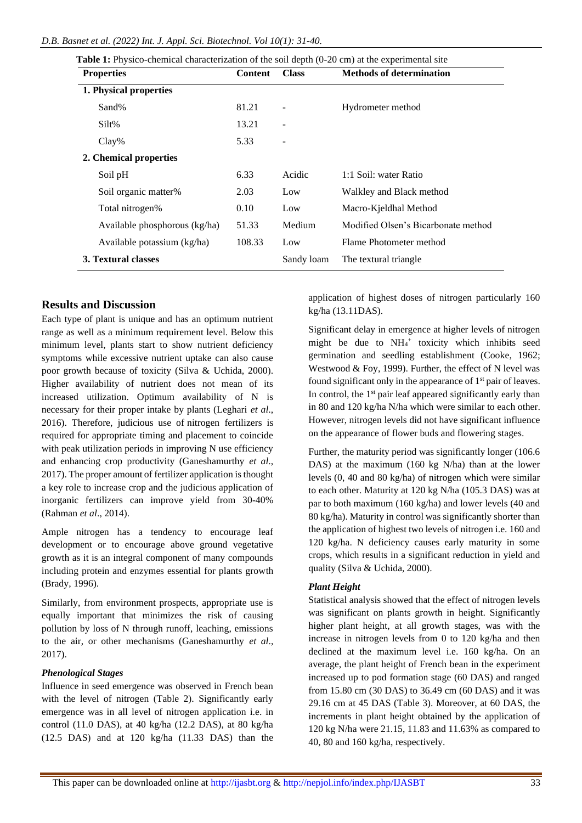| Content | <b>Class</b> | <b>Methods of determination</b>     |  |
|---------|--------------|-------------------------------------|--|
|         |              |                                     |  |
| 81.21   |              | Hydrometer method                   |  |
| 13.21   |              |                                     |  |
| 5.33    |              |                                     |  |
|         |              |                                     |  |
| 6.33    | Acidic       | 1:1 Soil: water Ratio               |  |
| 2.03    | Low          | Walkley and Black method            |  |
| 0.10    | Low          | Macro-Kjeldhal Method               |  |
| 51.33   | Medium       | Modified Olsen's Bicarbonate method |  |
| 108.33  | Low          | Flame Photometer method             |  |
|         | Sandy loam   | The textural triangle               |  |
|         |              |                                     |  |

## **Results and Discussion**

Each type of plant is unique and has an optimum nutrient range as well as a minimum requirement level. Below this minimum level, plants start to show nutrient deficiency symptoms while excessive nutrient uptake can also cause poor growth because of toxicity (Silva & Uchida, 2000). Higher availability of nutrient does not mean of its increased utilization. Optimum availability of N is necessary for their proper intake by plants (Leghari *et al*., 2016). Therefore, judicious use of nitrogen [fertilizers](https://www.sciencedirect.com/topics/earth-and-planetary-sciences/chemical-fertiliser) is required for appropriate timing and placement to coincide with peak utilization periods in improving N use efficiency and enhancing crop productivity (Ganeshamurthy *et al*., 2017). The proper amount of fertilizer application is thought a key role to increase crop and the judicious application of inorganic fertilizers can improve yield from 30-40% (Rahman *et al*., 2014).

Ample nitrogen has a tendency to encourage leaf development or to encourage above ground vegetative growth as it is an integral component of many compounds including protein and enzymes essential for plants growth (Brady, 1996).

Similarly, from environment prospects, appropriate use is equally important that minimizes the risk of causing pollution by loss of N through runoff, leaching, emissions to the air, or other mechanisms (Ganeshamurthy *et al*., 2017).

#### *Phenological Stages*

Influence in seed emergence was observed in French bean with the level of nitrogen (Table 2). Significantly early emergence was in all level of nitrogen application i.e. in control (11.0 DAS), at 40 kg/ha (12.2 DAS), at 80 kg/ha (12.5 DAS) and at 120 kg/ha (11.33 DAS) than the application of highest doses of nitrogen particularly 160 kg/ha (13.11DAS).

Significant delay in emergence at higher levels of nitrogen might be due to  $NH_4$ <sup>+</sup> toxicity which inhibits seed germination and seedling establishment (Cooke, 1962; Westwood & Foy, 1999). Further, the effect of N level was found significant only in the appearance of  $1<sup>st</sup>$  pair of leaves. In control, the  $1<sup>st</sup>$  pair leaf appeared significantly early than in 80 and 120 kg/ha N/ha which were similar to each other. However, nitrogen levels did not have significant influence on the appearance of flower buds and flowering stages.

Further, the maturity period was significantly longer (106.6 DAS) at the maximum (160 kg N/ha) than at the lower levels (0, 40 and 80 kg/ha) of nitrogen which were similar to each other. Maturity at 120 kg N/ha (105.3 DAS) was at par to both maximum (160 kg/ha) and lower levels (40 and 80 kg/ha). Maturity in control was significantly shorter than the application of highest two levels of nitrogen i.e. 160 and 120 kg/ha. N deficiency causes early maturity in some crops, which results in a significant reduction in yield and quality (Silva & Uchida, 2000).

#### *Plant Height*

Statistical analysis showed that the effect of nitrogen levels was significant on plants growth in height. Significantly higher plant height, at all growth stages, was with the increase in nitrogen levels from 0 to 120 kg/ha and then declined at the maximum level i.e. 160 kg/ha. On an average, the plant height of French bean in the experiment increased up to pod formation stage (60 DAS) and ranged from 15.80 cm (30 DAS) to 36.49 cm (60 DAS) and it was 29.16 cm at 45 DAS (Table 3). Moreover, at 60 DAS, the increments in plant height obtained by the application of 120 kg N/ha were 21.15, 11.83 and 11.63% as compared to 40, 80 and 160 kg/ha, respectively.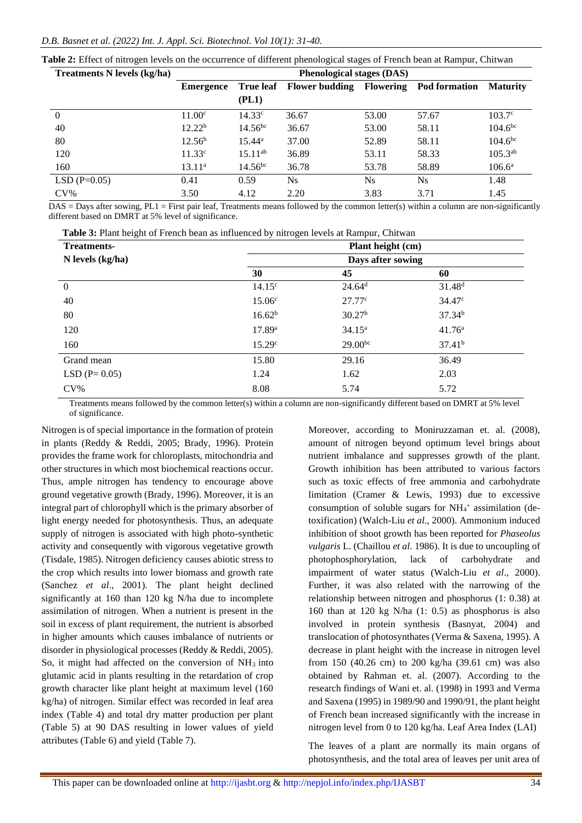| <b>Treatments N levels (kg/ha)</b> | <b>Phenological stages (DAS)</b> |                    |                                        |                |                |                 |  |
|------------------------------------|----------------------------------|--------------------|----------------------------------------|----------------|----------------|-----------------|--|
|                                    | <b>Emergence</b>                 | True leaf<br>(PL1) | Flower budding Flowering Pod formation |                |                | <b>Maturity</b> |  |
| $\theta$                           | 11.00 <sup>c</sup>               | $14.33^{\circ}$    | 36.67                                  | 53.00          | 57.67          | $103.7^{\circ}$ |  |
| 40                                 | 12.22 <sup>b</sup>               | $14.56^{bc}$       | 36.67                                  | 53.00          | 58.11          | $104.6^{bc}$    |  |
| 80                                 | $12.56^b$                        | $15.44^{\rm a}$    | 37.00                                  | 52.89          | 58.11          | $104.6^{bc}$    |  |
| 120                                | $11.33^{\circ}$                  | $15.11^{ab}$       | 36.89                                  | 53.11          | 58.33          | $105.3^{ab}$    |  |
| 160                                | 13.11 <sup>a</sup>               | $14.56^{bc}$       | 36.78                                  | 53.78          | 58.89          | $106.6^{\rm a}$ |  |
| $LSD(P=0.05)$                      | 0.41                             | 0.59               | Ns.                                    | N <sub>s</sub> | N <sub>s</sub> | 1.48            |  |
| $CV\%$                             | 3.50                             | 4.12               | 2.20                                   | 3.83           | 3.71           | 1.45            |  |

DAS = Days after sowing, PL1 = First pair leaf, Treatments means followed by the common letter(s) within a column are non-significantly different based on DMRT at 5% level of significance.

**Table 3:** Plant height of French bean as influenced by nitrogen levels at Rampur, Chitwan

| <b>Treatments-</b>   |                    | Plant height (cm)  |                    |  |  |  |
|----------------------|--------------------|--------------------|--------------------|--|--|--|
| $N$ levels $(kg/ha)$ | Days after sowing  |                    |                    |  |  |  |
|                      | 30                 | 45                 | 60                 |  |  |  |
| $\overline{0}$       | 14.15 <sup>c</sup> | 24.64 <sup>d</sup> | 31.48 <sup>d</sup> |  |  |  |
| 40                   | 15.06 <sup>c</sup> | 27.77c             | 34.47c             |  |  |  |
| 80                   | 16.62 <sup>b</sup> | 30.27 <sup>b</sup> | 37.34 <sup>b</sup> |  |  |  |
| 120                  | 17.89a             | $34.15^a$          | 41.76 <sup>a</sup> |  |  |  |
| 160                  | 15.29 <sup>c</sup> | $29.00^{bc}$       | 37.41 <sup>b</sup> |  |  |  |
| Grand mean           | 15.80              | 29.16              | 36.49              |  |  |  |
| LSD $(P=0.05)$       | 1.24               | 1.62               | 2.03               |  |  |  |
| $CV\%$               | 8.08               | 5.74               | 5.72               |  |  |  |

Treatments means followed by the common letter(s) within a column are non-significantly different based on DMRT at 5% level of significance.

Nitrogen is of special importance in the formation of protein in plants (Reddy & Reddi, 2005; Brady, 1996). Protein provides the frame work for chloroplasts, mitochondria and other structures in which most biochemical reactions occur. Thus, ample nitrogen has tendency to encourage above ground vegetative growth (Brady, 1996). Moreover, it is an integral part of chlorophyll which is the primary absorber of light energy needed for photosynthesis. Thus, an adequate supply of nitrogen is associated with high photo-synthetic activity and consequently with vigorous vegetative growth (Tisdale, 1985). Nitrogen deficiency causes abiotic stress to the crop which results into lower biomass and growth rate (Sanchez *et al*., 2001). The plant height declined significantly at 160 than 120 kg N/ha due to incomplete assimilation of nitrogen. When a nutrient is present in the soil in excess of plant requirement, the nutrient is absorbed in higher amounts which causes imbalance of nutrients or disorder in physiological processes (Reddy & Reddi, 2005). So, it might had affected on the conversion of  $NH<sub>3</sub>$  into glutamic acid in plants resulting in the retardation of crop growth character like plant height at maximum level (160 kg/ha) of nitrogen. Similar effect was recorded in leaf area index (Table 4) and total dry matter production per plant (Table 5) at 90 DAS resulting in lower values of yield attributes (Table 6) and yield (Table 7).

Moreover, according to Moniruzzaman et. al. (2008), amount of nitrogen beyond optimum level brings about nutrient imbalance and suppresses growth of the plant. Growth inhibition has been attributed to various factors such as toxic effects of free ammonia and carbohydrate limitation (Cramer & Lewis, 1993) due to excessive consumption of soluble sugars for  $NH<sub>4</sub><sup>+</sup>$  assimilation (detoxification) (Walch-Liu *et al*., 2000). Ammonium induced inhibition of shoot growth has been reported for *Phaseolus vulgaris* L. (Chaillou *et al*. 1986). It is due to uncoupling of photophosphorylation, lack of carbohydrate and impairment of water status (Walch-Liu *et al*., 2000). Further, it was also related with the narrowing of the relationship between nitrogen and phosphorus (1: 0.38) at 160 than at 120 kg N/ha (1: 0.5) as phosphorus is also involved in protein synthesis (Basnyat, 2004) and translocation of photosynthates (Verma & Saxena, 1995). A decrease in plant height with the increase in nitrogen level from 150 (40.26 cm) to 200 kg/ha (39.61 cm) was also obtained by Rahman et. al. (2007). According to the research findings of Wani et. al. (1998) in 1993 and Verma and Saxena (1995) in 1989/90 and 1990/91, the plant height of French bean increased significantly with the increase in nitrogen level from 0 to 120 kg/ha. Leaf Area Index (LAI)

The leaves of a plant are normally its main organs of photosynthesis, and the total area of leaves per unit area of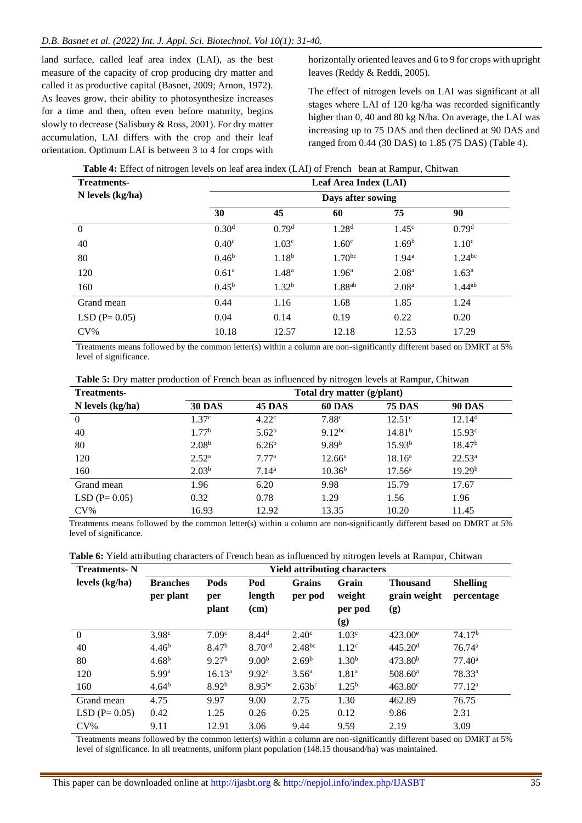land surface, called leaf area index (LAI), as the best measure of the capacity of crop producing dry matter and called it as productive capital (Basnet, 2009; Arnon, 1972). As leaves grow, their ability to photosynthesize increases for a time and then, often even before maturity, begins slowly to decrease (Salisbury & Ross, 2001). For dry matter accumulation, LAI differs with the crop and their leaf orientation. Optimum LAI is between 3 to 4 for crops with

horizontally oriented leaves and 6 to 9 for crops with upright leaves (Reddy & Reddi, 2005).

The effect of nitrogen levels on LAI was significant at all stages where LAI of 120 kg/ha was recorded significantly higher than 0, 40 and 80 kg N/ha. On average, the LAI was increasing up to 75 DAS and then declined at 90 DAS and ranged from 0.44 (30 DAS) to 1.85 (75 DAS) (Table 4).

|  |  | Table 4: Effect of nitrogen levels on leaf area index (LAI) of French bean at Rampur, Chitwan |
|--|--|-----------------------------------------------------------------------------------------------|
|  |  |                                                                                               |

| <b>Treatments-</b> | Leaf Area Index (LAI) |                   |                   |                   |                   |  |  |  |
|--------------------|-----------------------|-------------------|-------------------|-------------------|-------------------|--|--|--|
| $N$ levels (kg/ha) |                       |                   | Days after sowing |                   |                   |  |  |  |
|                    | 30                    | 45                | 60                | 75                | 90                |  |  |  |
| $\overline{0}$     | 0.30 <sup>d</sup>     | 0.79 <sup>d</sup> | 1.28 <sup>d</sup> | 1.45 <sup>c</sup> | 0.79 <sup>d</sup> |  |  |  |
| 40                 | 0.40 <sup>c</sup>     | 1.03 <sup>c</sup> | 1.60 <sup>c</sup> | 1.69 <sup>b</sup> | 1.10 <sup>c</sup> |  |  |  |
| 80                 | $0.46^{\rm b}$        | $1.18^{b}$        | $1.70^{bc}$       | 1.94 <sup>a</sup> | $1.24^{bc}$       |  |  |  |
| 120                | 0.61 <sup>a</sup>     | 1.48 <sup>a</sup> | 1.96 <sup>a</sup> | 2.08 <sup>a</sup> | 1.63 <sup>a</sup> |  |  |  |
| 160                | $0.45^{\rm b}$        | 1.32 <sup>b</sup> | $1.88^{ab}$       | 2.08 <sup>a</sup> | $1.44^{ab}$       |  |  |  |
| Grand mean         | 0.44                  | 1.16              | 1.68              | 1.85              | 1.24              |  |  |  |
| $LSD(P=0.05)$      | 0.04                  | 0.14              | 0.19              | 0.22              | 0.20              |  |  |  |
| $CV\%$             | 10.18                 | 12.57             | 12.18             | 12.53             | 17.29             |  |  |  |

Treatments means followed by the common letter(s) within a column are non-significantly different based on DMRT at 5% level of significance.

| Table 5: Dry matter production of French bean as influenced by nitrogen levels at Rampur, Chitwan |  |  |  |
|---------------------------------------------------------------------------------------------------|--|--|--|
|---------------------------------------------------------------------------------------------------|--|--|--|

| <b>Treatments-</b>   | Total dry matter (g/plant) |                   |                    |                    |                    |  |  |
|----------------------|----------------------------|-------------------|--------------------|--------------------|--------------------|--|--|
| $N$ levels $(kg/ha)$ | <b>30 DAS</b>              | <b>45 DAS</b>     | <b>60 DAS</b>      | <b>75 DAS</b>      | <b>90 DAS</b>      |  |  |
| $\overline{0}$       | 1.37c                      | 4.22 <sup>c</sup> | 7.88 <sup>c</sup>  | $12.51^{\circ}$    | 12.14 <sup>d</sup> |  |  |
| 40                   | 1.77 <sup>b</sup>          | 5.62 <sup>b</sup> | $9.12^{bc}$        | 14.81 <sup>b</sup> | 15.93c             |  |  |
| 80                   | 2.08 <sup>b</sup>          | $6.26^{b}$        | $9.89^{b}$         | $15.93^{b}$        | 18.47 <sup>b</sup> |  |  |
| 120                  | 2.52 <sup>a</sup>          | 7.77 <sup>a</sup> | $12.66^a$          | $18.16^a$          | $22.53^a$          |  |  |
| 160                  | 2.03 <sup>b</sup>          | 7.14 <sup>a</sup> | 10.36 <sup>b</sup> | $17.56^{\rm a}$    | 19.29 <sup>b</sup> |  |  |
| Grand mean           | 1.96                       | 6.20              | 9.98               | 15.79              | 17.67              |  |  |
| LSD $(P= 0.05)$      | 0.32                       | 0.78              | 1.29               | 1.56               | 1.96               |  |  |
| $CV\%$               | 16.93                      | 12.92             | 13.35              | 10.20              | 11.45              |  |  |

Treatments means followed by the common letter(s) within a column are non-significantly different based on DMRT at 5% level of significance.

|  |  |  |  |  |  | Table 6: Yield attributing characters of French bean as influenced by nitrogen levels at Rampur, Chitwan |  |
|--|--|--|--|--|--|----------------------------------------------------------------------------------------------------------|--|
|--|--|--|--|--|--|----------------------------------------------------------------------------------------------------------|--|

| <b>Treatments-N</b> |                   |                   |                    |                    | <b>Yield attributing characters</b> |                     |                    |
|---------------------|-------------------|-------------------|--------------------|--------------------|-------------------------------------|---------------------|--------------------|
| levels (kg/ha)      | <b>Branches</b>   | Pods              | Pod                | <b>Grains</b>      | Grain                               | <b>Thousand</b>     | <b>Shelling</b>    |
|                     | per plant         | per               | length             | per pod            | weight                              | grain weight        | percentage         |
|                     |                   | plant             | (cm)               |                    | per pod                             | (g)                 |                    |
|                     |                   |                   |                    |                    | (g)                                 |                     |                    |
| $\Omega$            | 3.98 <sup>c</sup> | 7.09 <sup>c</sup> | 8.44 <sup>d</sup>  | 2.40 <sup>c</sup>  | 1.03 <sup>c</sup>                   | $423.00^e$          | 74.17 <sup>b</sup> |
| 40                  | 4.46 <sup>b</sup> | 8.47 <sup>b</sup> | 8.70 <sup>cd</sup> | 2.48 <sup>bc</sup> | 1.12 <sup>c</sup>                   | 445.20 <sup>d</sup> | 76.74a             |
| 80                  | 4.68 <sup>b</sup> | 9.27 <sup>b</sup> | 9.00 <sup>b</sup>  | 2.69 <sup>b</sup>  | 1.30 <sup>b</sup>                   | 473.80 <sup>b</sup> | $77.40^a$          |
| 120                 | 5.99 <sup>a</sup> | $16.13^a$         | 9.92 <sup>a</sup>  | 3.56 <sup>a</sup>  | 1.81 <sup>a</sup>                   | $508.60^{\circ}$    | $78.33^{a}$        |
| 160                 | $4.64^{b}$        | 8.92 <sup>b</sup> | 8.95 <sup>bc</sup> | $2.63b^c$          | $1.25^{b}$                          | $463.80^{\circ}$    | 77.12 <sup>a</sup> |
| Grand mean          | 4.75              | 9.97              | 9.00               | 2.75               | 1.30                                | 462.89              | 76.75              |
| $LSD (P = 0.05)$    | 0.42              | 1.25              | 0.26               | 0.25               | 0.12                                | 9.86                | 2.31               |
| $CV\%$              | 9.11              | 12.91             | 3.06               | 9.44               | 9.59                                | 2.19                | 3.09               |

Treatments means followed by the common letter(s) within a column are non-significantly different based on DMRT at 5% level of significance. In all treatments, uniform plant population (148.15 thousand/ha) was maintained.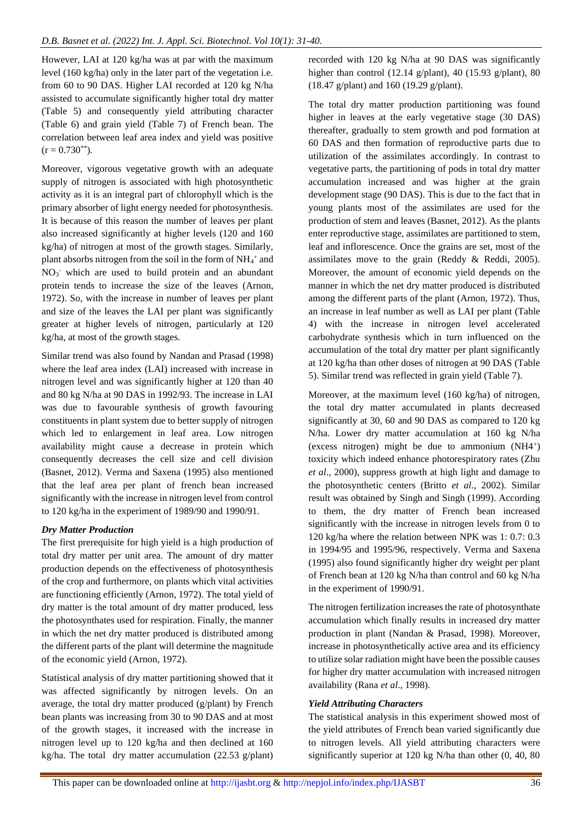However, LAI at 120 kg/ha was at par with the maximum level (160 kg/ha) only in the later part of the vegetation i.e. from 60 to 90 DAS. Higher LAI recorded at 120 kg N/ha assisted to accumulate significantly higher total dry matter (Table 5) and consequently yield attributing character (Table 6) and grain yield (Table 7) of French bean. The correlation between leaf area index and yield was positive  $(r = 0.730^{**})$ .

Moreover, vigorous vegetative growth with an adequate supply of nitrogen is associated with high photosynthetic activity as it is an integral part of chlorophyll which is the primary absorber of light energy needed for photosynthesis. It is because of this reason the number of leaves per plant also increased significantly at higher levels (120 and 160 kg/ha) of nitrogen at most of the growth stages. Similarly, plant absorbs nitrogen from the soil in the form of NH<sub>4</sub><sup>+</sup> and  $NO<sub>3</sub>$  which are used to build protein and an abundant protein tends to increase the size of the leaves (Arnon, 1972). So, with the increase in number of leaves per plant and size of the leaves the LAI per plant was significantly greater at higher levels of nitrogen, particularly at 120 kg/ha, at most of the growth stages.

Similar trend was also found by Nandan and Prasad (1998) where the leaf area index (LAI) increased with increase in nitrogen level and was significantly higher at 120 than 40 and 80 kg N/ha at 90 DAS in 1992/93. The increase in LAI was due to favourable synthesis of growth favouring constituents in plant system due to better supply of nitrogen which led to enlargement in leaf area. Low nitrogen availability might cause a decrease in protein which consequently decreases the cell size and cell division (Basnet, 2012). Verma and Saxena (1995) also mentioned that the leaf area per plant of french bean increased significantly with the increase in nitrogen level from control to 120 kg/ha in the experiment of 1989/90 and 1990/91.

## *Dry Matter Production*

The first prerequisite for high yield is a high production of total dry matter per unit area. The amount of dry matter production depends on the effectiveness of photosynthesis of the crop and furthermore, on plants which vital activities are functioning efficiently (Arnon, 1972). The total yield of dry matter is the total amount of dry matter produced, less the photosynthates used for respiration. Finally, the manner in which the net dry matter produced is distributed among the different parts of the plant will determine the magnitude of the economic yield (Arnon, 1972).

Statistical analysis of dry matter partitioning showed that it was affected significantly by nitrogen levels. On an average, the total dry matter produced (g/plant) by French bean plants was increasing from 30 to 90 DAS and at most of the growth stages, it increased with the increase in nitrogen level up to 120 kg/ha and then declined at 160 kg/ha. The total dry matter accumulation (22.53 g/plant)

recorded with 120 kg N/ha at 90 DAS was significantly higher than control (12.14 g/plant), 40 (15.93 g/plant), 80 (18.47 g/plant) and 160 (19.29 g/plant).

The total dry matter production partitioning was found higher in leaves at the early vegetative stage (30 DAS) thereafter, gradually to stem growth and pod formation at 60 DAS and then formation of reproductive parts due to utilization of the assimilates accordingly. In contrast to vegetative parts, the partitioning of pods in total dry matter accumulation increased and was higher at the grain development stage (90 DAS). This is due to the fact that in young plants most of the assimilates are used for the production of stem and leaves (Basnet, 2012). As the plants enter reproductive stage, assimilates are partitioned to stem, leaf and inflorescence. Once the grains are set, most of the assimilates move to the grain (Reddy & Reddi, 2005). Moreover, the amount of economic yield depends on the manner in which the net dry matter produced is distributed among the different parts of the plant (Arnon, 1972). Thus, an increase in leaf number as well as LAI per plant (Table 4) with the increase in nitrogen level accelerated carbohydrate synthesis which in turn influenced on the accumulation of the total dry matter per plant significantly at 120 kg/ha than other doses of nitrogen at 90 DAS (Table 5). Similar trend was reflected in grain yield (Table 7).

Moreover, at the maximum level (160 kg/ha) of nitrogen, the total dry matter accumulated in plants decreased significantly at 30, 60 and 90 DAS as compared to 120 kg N/ha. Lower dry matter accumulation at 160 kg N/ha (excess nitrogen) might be due to ammonium (NH4<sup>+</sup> ) toxicity which indeed enhance photorespiratory rates (Zhu *et al*., 2000), suppress growth at high light and damage to the photosynthetic centers (Britto *et al*., 2002). Similar result was obtained by Singh and Singh (1999). According to them, the dry matter of French bean increased significantly with the increase in nitrogen levels from 0 to 120 kg/ha where the relation between NPK was 1: 0.7: 0.3 in 1994/95 and 1995/96, respectively. Verma and Saxena (1995) also found significantly higher dry weight per plant of French bean at 120 kg N/ha than control and 60 kg N/ha in the experiment of 1990/91.

The nitrogen fertilization increases the rate of photosynthate accumulation which finally results in increased dry matter production in plant (Nandan & Prasad, 1998). Moreover, increase in photosynthetically active area and its efficiency to utilize solar radiation might have been the possible causes for higher dry matter accumulation with increased nitrogen availability (Rana *et al*., 1998).

## *Yield Attributing Characters*

The statistical analysis in this experiment showed most of the yield attributes of French bean varied significantly due to nitrogen levels. All yield attributing characters were significantly superior at 120 kg N/ha than other (0, 40, 80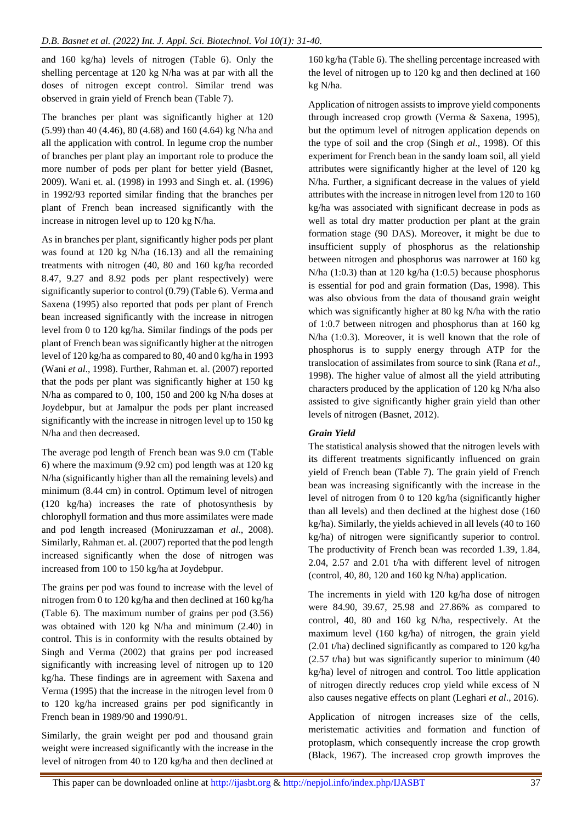and 160 kg/ha) levels of nitrogen (Table 6). Only the shelling percentage at 120 kg N/ha was at par with all the doses of nitrogen except control. Similar trend was observed in grain yield of French bean (Table 7).

The branches per plant was significantly higher at 120 (5.99) than 40 (4.46), 80 (4.68) and 160 (4.64) kg N/ha and all the application with control. In legume crop the number of branches per plant play an important role to produce the more number of pods per plant for better yield (Basnet, 2009). Wani et. al. (1998) in 1993 and Singh et. al. (1996) in 1992/93 reported similar finding that the branches per plant of French bean increased significantly with the increase in nitrogen level up to 120 kg N/ha.

As in branches per plant, significantly higher pods per plant was found at 120 kg N/ha (16.13) and all the remaining treatments with nitrogen (40, 80 and 160 kg/ha recorded 8.47, 9.27 and 8.92 pods per plant respectively) were significantly superior to control (0.79) (Table 6). Verma and Saxena (1995) also reported that pods per plant of French bean increased significantly with the increase in nitrogen level from 0 to 120 kg/ha. Similar findings of the pods per plant of French bean was significantly higher at the nitrogen level of 120 kg/ha as compared to 80, 40 and 0 kg/ha in 1993 (Wani *et al*., 1998). Further, Rahman et. al. (2007) reported that the pods per plant was significantly higher at 150 kg N/ha as compared to 0, 100, 150 and 200 kg N/ha doses at Joydebpur, but at Jamalpur the pods per plant increased significantly with the increase in nitrogen level up to 150 kg N/ha and then decreased.

The average pod length of French bean was 9.0 cm (Table 6) where the maximum (9.92 cm) pod length was at 120 kg N/ha (significantly higher than all the remaining levels) and minimum (8.44 cm) in control. Optimum level of nitrogen (120 kg/ha) increases the rate of photosynthesis by chlorophyll formation and thus more assimilates were made and pod length increased (Moniruzzaman *et al*., 2008). Similarly, Rahman et. al. (2007) reported that the pod length increased significantly when the dose of nitrogen was increased from 100 to 150 kg/ha at Joydebpur.

The grains per pod was found to increase with the level of nitrogen from 0 to 120 kg/ha and then declined at 160 kg/ha (Table 6). The maximum number of grains per pod (3.56) was obtained with 120 kg N/ha and minimum (2.40) in control. This is in conformity with the results obtained by Singh and Verma (2002) that grains per pod increased significantly with increasing level of nitrogen up to 120 kg/ha. These findings are in agreement with Saxena and Verma (1995) that the increase in the nitrogen level from 0 to 120 kg/ha increased grains per pod significantly in French bean in 1989/90 and 1990/91.

Similarly, the grain weight per pod and thousand grain weight were increased significantly with the increase in the level of nitrogen from 40 to 120 kg/ha and then declined at

160 kg/ha (Table 6). The shelling percentage increased with the level of nitrogen up to 120 kg and then declined at 160 kg N/ha.

Application of nitrogen assists to improve yield components through increased crop growth (Verma & Saxena, 1995), but the optimum level of nitrogen application depends on the type of soil and the crop (Singh *et al*., 1998). Of this experiment for French bean in the sandy loam soil, all yield attributes were significantly higher at the level of 120 kg N/ha. Further, a significant decrease in the values of yield attributes with the increase in nitrogen level from 120 to 160 kg/ha was associated with significant decrease in pods as well as total dry matter production per plant at the grain formation stage (90 DAS). Moreover, it might be due to insufficient supply of phosphorus as the relationship between nitrogen and phosphorus was narrower at 160 kg N/ha (1:0.3) than at 120 kg/ha (1:0.5) because phosphorus is essential for pod and grain formation (Das, 1998). This was also obvious from the data of thousand grain weight which was significantly higher at 80 kg N/ha with the ratio of 1:0.7 between nitrogen and phosphorus than at 160 kg N/ha (1:0.3). Moreover, it is well known that the role of phosphorus is to supply energy through ATP for the translocation of assimilates from source to sink (Rana *et al*., 1998). The higher value of almost all the yield attributing characters produced by the application of 120 kg N/ha also assisted to give significantly higher grain yield than other levels of nitrogen (Basnet, 2012).

## *Grain Yield*

The statistical analysis showed that the nitrogen levels with its different treatments significantly influenced on grain yield of French bean (Table 7). The grain yield of French bean was increasing significantly with the increase in the level of nitrogen from 0 to 120 kg/ha (significantly higher than all levels) and then declined at the highest dose (160 kg/ha). Similarly, the yields achieved in all levels (40 to 160 kg/ha) of nitrogen were significantly superior to control. The productivity of French bean was recorded 1.39, 1.84, 2.04, 2.57 and 2.01 t/ha with different level of nitrogen (control, 40, 80, 120 and 160 kg N/ha) application.

The increments in yield with 120 kg/ha dose of nitrogen were 84.90, 39.67, 25.98 and 27.86% as compared to control, 40, 80 and 160 kg N/ha, respectively. At the maximum level (160 kg/ha) of nitrogen, the grain yield (2.01 t/ha) declined significantly as compared to 120 kg/ha (2.57 t/ha) but was significantly superior to minimum (40 kg/ha) level of nitrogen and control. Too little application of nitrogen directly reduces crop yield while excess of N also causes negative effects on plant (Leghari *et al*., 2016).

Application of nitrogen increases size of the cells, meristematic activities and formation and function of protoplasm, which consequently increase the crop growth (Black, 1967). The increased crop growth improves the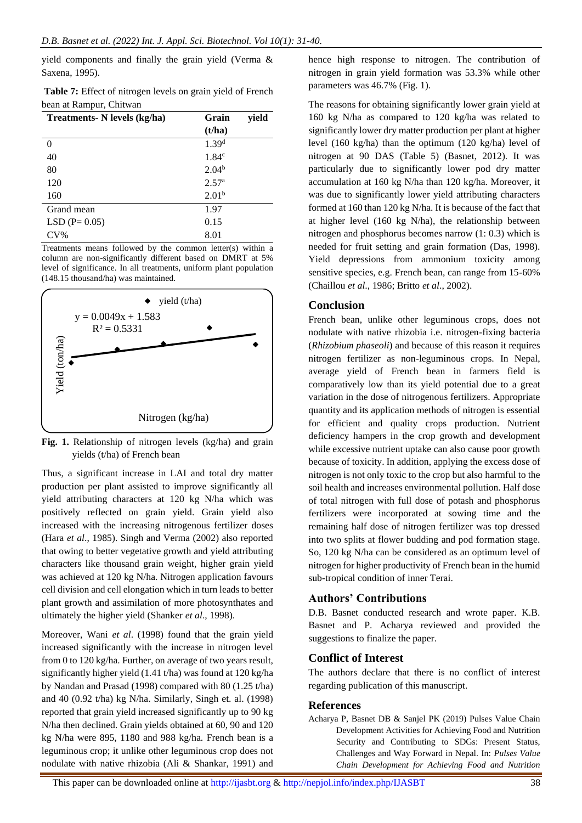yield components and finally the grain yield (Verma & Saxena, 1995).

**Table 7:** Effect of nitrogen levels on grain yield of French bean at Rampur, Chitwan

| Treatments- N levels (kg/ha) | Grain             | yield |
|------------------------------|-------------------|-------|
|                              | (t/ha)            |       |
| 0                            | 1.39 <sup>d</sup> |       |
| 40                           | 1.84 <sup>c</sup> |       |
| 80                           | $2.04^{b}$        |       |
| 120                          | 2.57 <sup>a</sup> |       |
| 160                          | 2.01 <sup>b</sup> |       |
| Grand mean                   | 1.97              |       |
| $LSD (P = 0.05)$             | 0.15              |       |
| $CV\%$                       | 8.01              |       |

Treatments means followed by the common letter(s) within a column are non-significantly different based on DMRT at 5% level of significance. In all treatments, uniform plant population (148.15 thousand/ha) was maintained.



**Fig. 1.** Relationship of nitrogen levels (kg/ha) and grain yields (t/ha) of French bean

Thus, a significant increase in LAI and total dry matter production per plant assisted to improve significantly all yield attributing characters at 120 kg N/ha which was positively reflected on grain yield. Grain yield also increased with the increasing nitrogenous fertilizer doses (Hara *et al*., 1985). Singh and Verma (2002) also reported that owing to better vegetative growth and yield attributing characters like thousand grain weight, higher grain yield was achieved at 120 kg N/ha. Nitrogen application favours cell division and cell elongation which in turn leads to better plant growth and assimilation of more photosynthates and ultimately the higher yield (Shanker *et al*., 1998).

Moreover, Wani *et al*. (1998) found that the grain yield increased significantly with the increase in nitrogen level from 0 to 120 kg/ha. Further, on average of two years result, significantly higher yield (1.41 t/ha) was found at 120 kg/ha by Nandan and Prasad (1998) compared with 80 (1.25 t/ha) and 40 (0.92 t/ha) kg N/ha. Similarly, Singh et. al. (1998) reported that grain yield increased significantly up to 90 kg N/ha then declined. Grain yields obtained at 60, 90 and 120 kg N/ha were 895, 1180 and 988 kg/ha. French bean is a leguminous crop; it unlike other leguminous crop does not nodulate with native rhizobia (Ali & Shankar, 1991) and

hence high response to nitrogen. The contribution of nitrogen in grain yield formation was 53.3% while other parameters was 46.7% (Fig. 1).

The reasons for obtaining significantly lower grain yield at 160 kg N/ha as compared to 120 kg/ha was related to significantly lower dry matter production per plant at higher level (160 kg/ha) than the optimum (120 kg/ha) level of nitrogen at 90 DAS (Table 5) (Basnet, 2012). It was particularly due to significantly lower pod dry matter accumulation at 160 kg N/ha than 120 kg/ha. Moreover, it was due to significantly lower yield attributing characters formed at 160 than 120 kg N/ha. It is because of the fact that at higher level (160 kg N/ha), the relationship between nitrogen and phosphorus becomes narrow (1: 0.3) which is needed for fruit setting and grain formation (Das, 1998). Yield depressions from ammonium toxicity among sensitive species, e.g. French bean, can range from 15-60% (Chaillou *et al*., 1986; Britto *et al*., 2002).

# **Conclusion**

French bean, unlike other leguminous crops, does not nodulate with native rhizobia i.e. nitrogen-fixing bacteria (*Rhizobium phaseoli*) and because of this reason it requires nitrogen fertilizer as non-leguminous crops. In Nepal, average yield of French bean in farmers field is comparatively low than its yield potential due to a great variation in the dose of nitrogenous fertilizers. Appropriate quantity and its application methods of nitrogen is essential for efficient and quality crops production. Nutrient deficiency hampers in the crop growth and development while excessive nutrient uptake can also cause poor growth because of toxicity. In addition, applying the excess dose of nitrogen is not only toxic to the crop but also harmful to the soil health and increases environmental pollution. Half dose of total nitrogen with full dose of potash and phosphorus fertilizers were incorporated at sowing time and the remaining half dose of nitrogen fertilizer was top dressed into two splits at flower budding and pod formation stage. So, 120 kg N/ha can be considered as an optimum level of nitrogen for higher productivity of French bean in the humid sub-tropical condition of inner Terai.

# **Authors' Contributions**

D.B. Basnet conducted research and wrote paper. K.B. Basnet and P. Acharya reviewed and provided the suggestions to finalize the paper.

# **Conflict of Interest**

The authors declare that there is no conflict of interest regarding publication of this manuscript.

# **References**

Acharya P, Basnet DB & Sanjel PK (2019) Pulses Value Chain Development Activities for Achieving Food and Nutrition Security and Contributing to SDGs: Present Status, Challenges and Way Forward in Nepal. In: *Pulses Value Chain Development for Achieving Food and Nutrition*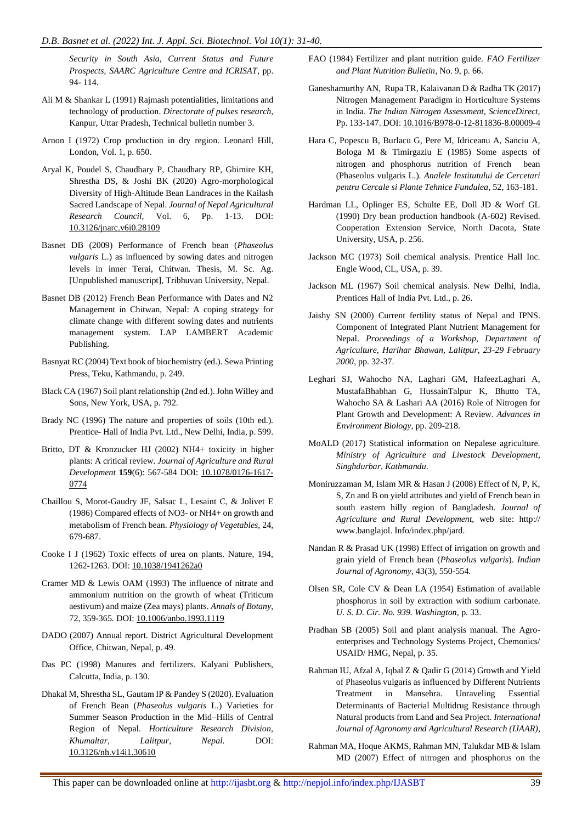*Security in South Asia, Current Status and Future Prospects, SAARC Agriculture Centre and ICRISAT*, pp. 94- 114.

- Ali M & Shankar L (1991) Rajmash potentialities, limitations and technology of production. *Directorate of pulses research*, Kanpur, Uttar Pradesh, Technical bulletin number 3.
- Arnon I (1972) Crop production in dry region. Leonard Hill, London, Vol. 1, p. 650.
- Aryal K, Poudel S, Chaudhary P, Chaudhary RP, Ghimire KH, Shrestha DS, & Joshi BK (2020) Agro-morphological Diversity of High-Altitude Bean Landraces in the Kailash Sacred Landscape of Nepal. *Journal of Nepal Agricultural Research Council*, Vol. 6, Pp. 1-13. DOI: [10.3126/jnarc.v6i0.28109](https://doi.org/10.3126/jnarc.v6i0.28109)
- Basnet DB (2009) Performance of French bean (*Phaseolus vulgaris* L.) as influenced by sowing dates and nitrogen levels in inner Terai, Chitwan. Thesis, M. Sc. Ag. [Unpublished manuscript], Tribhuvan University, Nepal.
- Basnet DB (2012) French Bean Performance with Dates and N2 Management in Chitwan, Nepal: A coping strategy for climate change with different sowing dates and nutrients management system. LAP LAMBERT Academic Publishing.
- Basnyat RC (2004) Text book of biochemistry (ed.). Sewa Printing Press, Teku, Kathmandu, p. 249.
- Black CA (1967) Soil plant relationship (2nd ed.). John Willey and Sons, New York, USA, p. 792.
- Brady NC (1996) The nature and properties of soils (10th ed.). Prentice- Hall of India Pvt. Ltd., New Delhi, India, p. 599.
- Britto, DT & Kronzucker HJ (2002) NH4+ toxicity in higher plants: A critical review. *Journal of Agriculture and Rural Development* **159**(6): 567-584 DOI: [10.1078/0176-1617-](https://doi.org/10.1078/0176-1617-0774) [0774](https://doi.org/10.1078/0176-1617-0774)
- Chaillou S, Morot-Gaudry JF, Salsac L, Lesaint C, & Jolivet E (1986) Compared effects of NO3- or NH4+ on growth and metabolism of French bean. *Physiology of Vegetables*, 24, 679-687.
- Cooke I J (1962) Toxic effects of urea on plants. Nature, 194, 1262-1263. DOI[: 10.1038/1941262a0](https://doi.org/10.1038/1941262a0)
- Cramer MD & Lewis OAM (1993) The influence of nitrate and ammonium nutrition on the growth of wheat (Triticum aestivum) and maize (Zea mays) plants. *Annals of Botany*, 72, 359-365. DOI[: 10.1006/anbo.1993.1119](https://doi.org/10.1006/anbo.1993.1119)
- DADO (2007) Annual report. District Agricultural Development Office, Chitwan, Nepal, p. 49.
- Das PC (1998) Manures and fertilizers. Kalyani Publishers, Calcutta, India, p. 130.
- Dhakal M, Shrestha SL, Gautam IP & Pandey S (2020). Evaluation of French Bean (*Phaseolus vulgaris* L.) Varieties for Summer Season Production in the Mid–Hills of Central Region of Nepal. *Horticulture Research Division, Khumaltar, Lalitpur, Nepal.* DOI: [10.3126/nh.v14i1.30610](https://doi.org/10.3126/nh.v14i1.30610)
- FAO (1984) Fertilizer and plant nutrition guide. *FAO Fertilizer and Plant Nutrition Bulletin*, No. 9, p. 66.
- Ganeshamurth[y AN, Rupa](https://www.sciencedirect.com/science/article/pii/B9780128118368000094#!) TR, [Kalaivanan](https://www.sciencedirect.com/science/article/pii/B9780128118368000094#!) D & [Radha](https://www.sciencedirect.com/science/article/pii/B9780128118368000094#!) TK (2017) Nitrogen Management Paradigm in Horticulture Systems in India. *The Indian Nitrogen Assessment, ScienceDirect,* Pp. 133-147. DOI[: 10.1016/B978-0-12-811836-8.00009-4](https://doi.org/10.1016/B978-0-12-811836-8.00009-4)
- Hara C, Popescu B, Burlacu G, Pere M, Idriceanu A, Sanciu A, Bologa M & Timirgaziu E (1985) Some aspects of nitrogen and phosphorus nutrition of French bean (Phaseolus vulgaris L.). *Analele Institutului de Cercetari pentru Cercale si Plante Tehnice Fundulea*, 52, 163-181.
- Hardman LL, Oplinger ES, Schulte EE, Doll JD & Worf GL (1990) Dry bean production handbook (A-602) Revised. Cooperation Extension Service, North Dacota, State University, USA, p. 256.
- Jackson MC (1973) Soil chemical analysis. Prentice Hall Inc. Engle Wood, CL, USA, p. 39.
- Jackson ML (1967) Soil chemical analysis. New Delhi, India, Prentices Hall of India Pvt. Ltd., p. 26.
- Jaishy SN (2000) Current fertility status of Nepal and IPNS. Component of Integrated Plant Nutrient Management for Nepal. *Proceedings of a Workshop, Department of Agriculture, Harihar Bhawan, Lalitpur, 23-29 February 2000,* pp. 32-37.
- Leghari SJ, Wahocho NA, Laghari GM, HafeezLaghari A, MustafaBhabhan G, HussainTalpur K, Bhutto TA, Wahocho SA & Lashari AA (2016) Role of Nitrogen for Plant Growth and Development: A Review. *Advances in Environment Biology*, pp. 209-218.
- MoALD (2017) Statistical information on Nepalese agriculture. *Ministry of Agriculture and Livestock Development*, *Singhdurbar, Kathmandu*.
- Moniruzzaman M, Islam MR & Hasan J (2008) Effect of N, P, K, S, Zn and B on yield attributes and yield of French bean in south eastern hilly region of Bangladesh. *Journal of Agriculture and Rural Development,* web site: http:// www.banglajol. Info/index.php/jard.
- Nandan R & Prasad UK (1998) Effect of irrigation on growth and grain yield of French bean (*Phaseolus vulgaris*). *Indian Journal of Agronomy,* 43(3), 550-554.
- Olsen SR, Cole CV & Dean LA (1954) Estimation of available phosphorus in soil by extraction with sodium carbonate. *U. S. D. Cir. No. 939. Washington,* p. 33.
- Pradhan SB (2005) Soil and plant analysis manual. The Agroenterprises and Technology Systems Project, Chemonics/ USAID/ HMG, Nepal, p. 35.
- Rahman IU, Afzal A, Iqbal Z & Qadir G (2014) Growth and Yield of Phaseolus vulgaris as influenced by Different Nutrients Treatment in Mansehra. Unraveling Essential Determinants of Bacterial Multidrug Resistance through Natural products from Land and Sea Project. *International Journal of Agronomy and Agricultural Research (IJAAR),*
- Rahman MA, Hoque AKMS, Rahman MN, Talukdar MB & Islam MD (2007) Effect of nitrogen and phosphorus on the